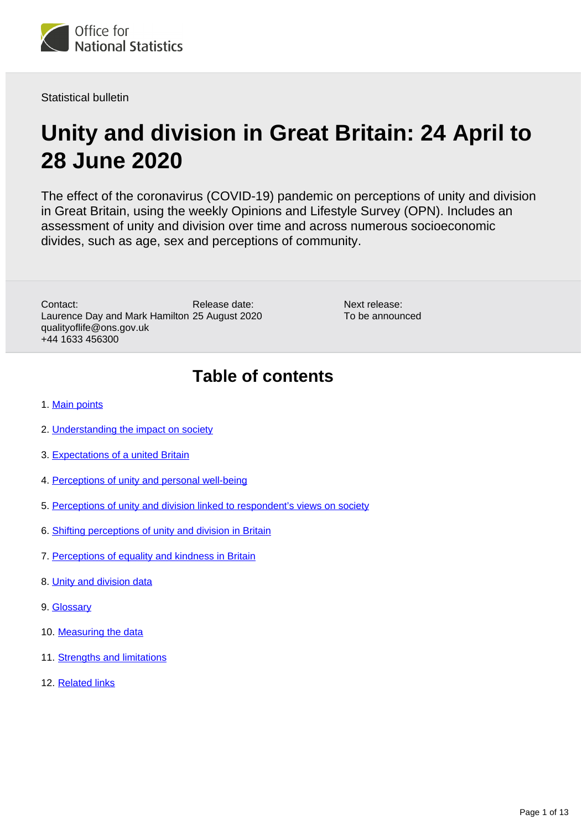

Statistical bulletin

# **Unity and division in Great Britain: 24 April to 28 June 2020**

The effect of the coronavirus (COVID-19) pandemic on perceptions of unity and division in Great Britain, using the weekly Opinions and Lifestyle Survey (OPN). Includes an assessment of unity and division over time and across numerous socioeconomic divides, such as age, sex and perceptions of community.

Release date: Laurence Day and Mark Hamilton 25 August 2020 Contact: qualityoflife@ons.gov.uk +44 1633 456300

Next release: To be announced

## **Table of contents**

- 1. [Main points](#page-1-0)
- 2. [Understanding the impact on society](#page-1-1)
- 3. [Expectations of a united Britain](#page-2-0)
- 4. [Perceptions of unity and personal well-being](#page-5-0)
- 5. [Perceptions of unity and division linked to respondent's views on society](#page-6-0)
- 6. [Shifting perceptions of unity and division in Britain](#page-7-0)
- 7. [Perceptions of equality and kindness in Britain](#page-8-0)
- 8. [Unity and division data](#page-9-0)
- 9. [Glossary](#page-9-1)
- 10. [Measuring the data](#page-10-0)
- 11. [Strengths and limitations](#page-11-0)
- 12. [Related links](#page-12-0)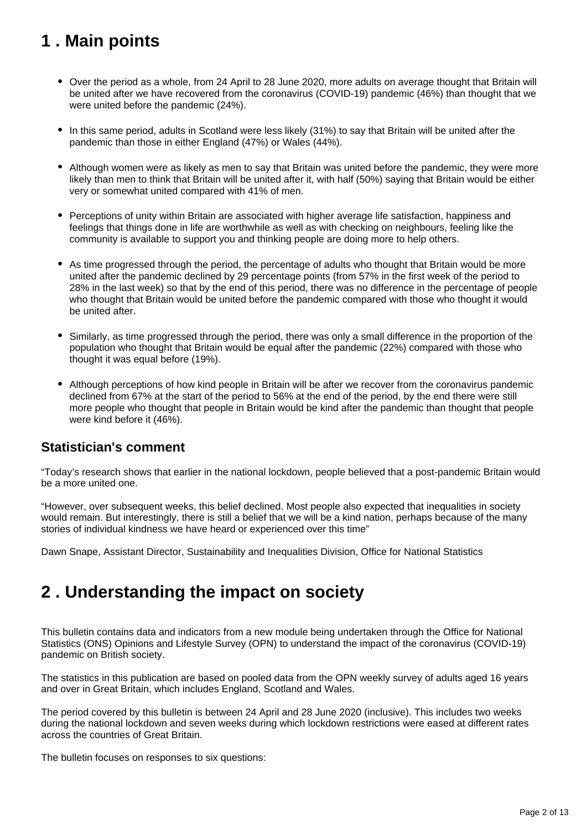## <span id="page-1-0"></span>**1 . Main points**

- Over the period as a whole, from 24 April to 28 June 2020, more adults on average thought that Britain will be united after we have recovered from the coronavirus (COVID-19) pandemic (46%) than thought that we were united before the pandemic (24%).
- In this same period, adults in Scotland were less likely (31%) to say that Britain will be united after the pandemic than those in either England (47%) or Wales (44%).
- Although women were as likely as men to say that Britain was united before the pandemic, they were more likely than men to think that Britain will be united after it, with half (50%) saying that Britain would be either very or somewhat united compared with 41% of men.
- Perceptions of unity within Britain are associated with higher average life satisfaction, happiness and feelings that things done in life are worthwhile as well as with checking on neighbours, feeling like the community is available to support you and thinking people are doing more to help others.
- As time progressed through the period, the percentage of adults who thought that Britain would be more united after the pandemic declined by 29 percentage points (from 57% in the first week of the period to 28% in the last week) so that by the end of this period, there was no difference in the percentage of people who thought that Britain would be united before the pandemic compared with those who thought it would be united after.
- Similarly, as time progressed through the period, there was only a small difference in the proportion of the population who thought that Britain would be equal after the pandemic (22%) compared with those who thought it was equal before (19%).
- Although perceptions of how kind people in Britain will be after we recover from the coronavirus pandemic declined from 67% at the start of the period to 56% at the end of the period, by the end there were still more people who thought that people in Britain would be kind after the pandemic than thought that people were kind before it (46%).

## **Statistician's comment**

"Today's research shows that earlier in the national lockdown, people believed that a post-pandemic Britain would be a more united one.

"However, over subsequent weeks, this belief declined. Most people also expected that inequalities in society would remain. But interestingly, there is still a belief that we will be a kind nation, perhaps because of the many stories of individual kindness we have heard or experienced over this time"

Dawn Snape, Assistant Director, Sustainability and Inequalities Division, Office for National Statistics

## <span id="page-1-1"></span>**2 . Understanding the impact on society**

This bulletin contains data and indicators from a new module being undertaken through the Office for National Statistics (ONS) Opinions and Lifestyle Survey (OPN) to understand the impact of the coronavirus (COVID-19) pandemic on British society.

The statistics in this publication are based on pooled data from the OPN weekly survey of adults aged 16 years and over in Great Britain, which includes England, Scotland and Wales.

The period covered by this bulletin is between 24 April and 28 June 2020 (inclusive). This includes two weeks during the national lockdown and seven weeks during which lockdown restrictions were eased at different rates across the countries of Great Britain.

The bulletin focuses on responses to six questions: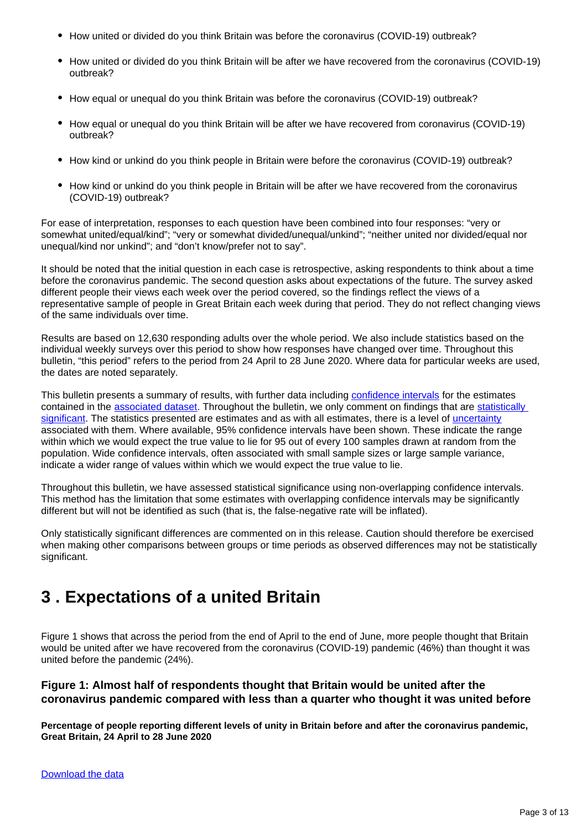- How united or divided do you think Britain was before the coronavirus (COVID-19) outbreak?
- How united or divided do you think Britain will be after we have recovered from the coronavirus (COVID-19) outbreak?
- How equal or unequal do you think Britain was before the coronavirus (COVID-19) outbreak?
- How equal or unequal do you think Britain will be after we have recovered from coronavirus (COVID-19) outbreak?
- How kind or unkind do you think people in Britain were before the coronavirus (COVID-19) outbreak?
- How kind or unkind do you think people in Britain will be after we have recovered from the coronavirus (COVID-19) outbreak?

For ease of interpretation, responses to each question have been combined into four responses: "very or somewhat united/equal/kind"; "very or somewhat divided/unequal/unkind"; "neither united nor divided/equal nor unequal/kind nor unkind"; and "don't know/prefer not to say".

It should be noted that the initial question in each case is retrospective, asking respondents to think about a time before the coronavirus pandemic. The second question asks about expectations of the future. The survey asked different people their views each week over the period covered, so the findings reflect the views of a representative sample of people in Great Britain each week during that period. They do not reflect changing views of the same individuals over time.

Results are based on 12,630 responding adults over the whole period. We also include statistics based on the individual weekly surveys over this period to show how responses have changed over time. Throughout this bulletin, "this period" refers to the period from 24 April to 28 June 2020. Where data for particular weeks are used, the dates are noted separately.

This bulletin presents a summary of results, with further data including [confidence intervals](https://www.ons.gov.uk/methodology/methodologytopicsandstatisticalconcepts/uncertaintyandhowwemeasureit#confidence-interval) for the estimates contained in the [associated dataset](http://dataset). Throughout the bulletin, we only comment on findings that are [statistically](https://www.ons.gov.uk/methodology/methodologytopicsandstatisticalconcepts/uncertaintyandhowwemeasureit#statistical-significance)  [significant.](https://www.ons.gov.uk/methodology/methodologytopicsandstatisticalconcepts/uncertaintyandhowwemeasureit#statistical-significance) The statistics presented are estimates and as with all estimates, there is a level of [uncertainty](https://www.ons.gov.uk/methodology/methodologytopicsandstatisticalconcepts/uncertaintyandhowwemeasureit#what-is-uncertainty) associated with them. Where available, 95% confidence intervals have been shown. These indicate the range within which we would expect the true value to lie for 95 out of every 100 samples drawn at random from the population. Wide confidence intervals, often associated with small sample sizes or large sample variance, indicate a wider range of values within which we would expect the true value to lie.

Throughout this bulletin, we have assessed statistical significance using non-overlapping confidence intervals. This method has the limitation that some estimates with overlapping confidence intervals may be significantly different but will not be identified as such (that is, the false-negative rate will be inflated).

Only statistically significant differences are commented on in this release. Caution should therefore be exercised when making other comparisons between groups or time periods as observed differences may not be statistically significant.

## <span id="page-2-0"></span>**3 . Expectations of a united Britain**

Figure 1 shows that across the period from the end of April to the end of June, more people thought that Britain would be united after we have recovered from the coronavirus (COVID-19) pandemic (46%) than thought it was united before the pandemic (24%).

### **Figure 1: Almost half of respondents thought that Britain would be united after the coronavirus pandemic compared with less than a quarter who thought it was united before**

**Percentage of people reporting different levels of unity in Britain before and after the coronavirus pandemic, Great Britain, 24 April to 28 June 2020**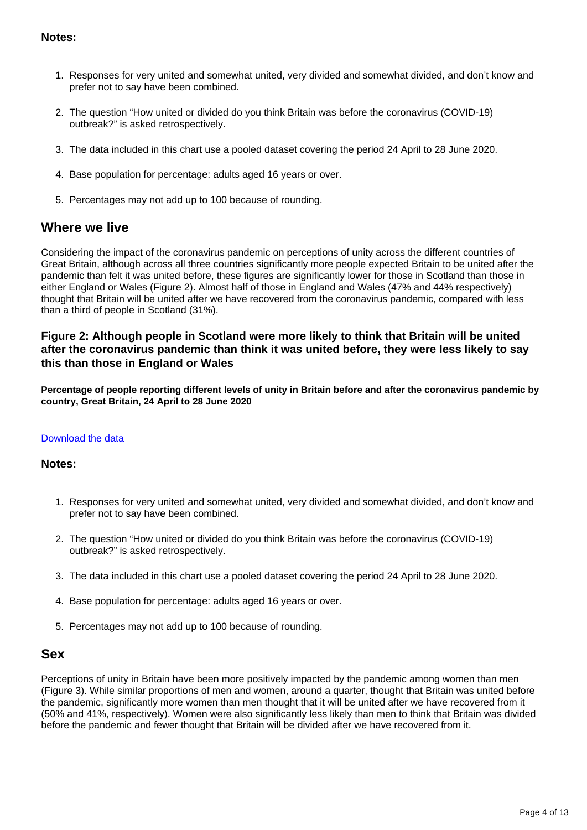### **Notes:**

- 1. Responses for very united and somewhat united, very divided and somewhat divided, and don't know and prefer not to say have been combined.
- 2. The question "How united or divided do you think Britain was before the coronavirus (COVID-19) outbreak?" is asked retrospectively.
- 3. The data included in this chart use a pooled dataset covering the period 24 April to 28 June 2020.
- 4. Base population for percentage: adults aged 16 years or over.
- 5. Percentages may not add up to 100 because of rounding.

### **Where we live**

Considering the impact of the coronavirus pandemic on perceptions of unity across the different countries of Great Britain, although across all three countries significantly more people expected Britain to be united after the pandemic than felt it was united before, these figures are significantly lower for those in Scotland than those in either England or Wales (Figure 2). Almost half of those in England and Wales (47% and 44% respectively) thought that Britain will be united after we have recovered from the coronavirus pandemic, compared with less than a third of people in Scotland (31%).

### **Figure 2: Although people in Scotland were more likely to think that Britain will be united after the coronavirus pandemic than think it was united before, they were less likely to say this than those in England or Wales**

**Percentage of people reporting different levels of unity in Britain before and after the coronavirus pandemic by country, Great Britain, 24 April to 28 June 2020**

#### [Download the data](https://www.ons.gov.uk/visualisations/dvc947/fig2/wrapper/datadownload.xlsx)

#### **Notes:**

- 1. Responses for very united and somewhat united, very divided and somewhat divided, and don't know and prefer not to say have been combined.
- 2. The question "How united or divided do you think Britain was before the coronavirus (COVID-19) outbreak?" is asked retrospectively.
- 3. The data included in this chart use a pooled dataset covering the period 24 April to 28 June 2020.
- 4. Base population for percentage: adults aged 16 years or over.
- 5. Percentages may not add up to 100 because of rounding.

### **Sex**

Perceptions of unity in Britain have been more positively impacted by the pandemic among women than men (Figure 3). While similar proportions of men and women, around a quarter, thought that Britain was united before the pandemic, significantly more women than men thought that it will be united after we have recovered from it (50% and 41%, respectively). Women were also significantly less likely than men to think that Britain was divided before the pandemic and fewer thought that Britain will be divided after we have recovered from it.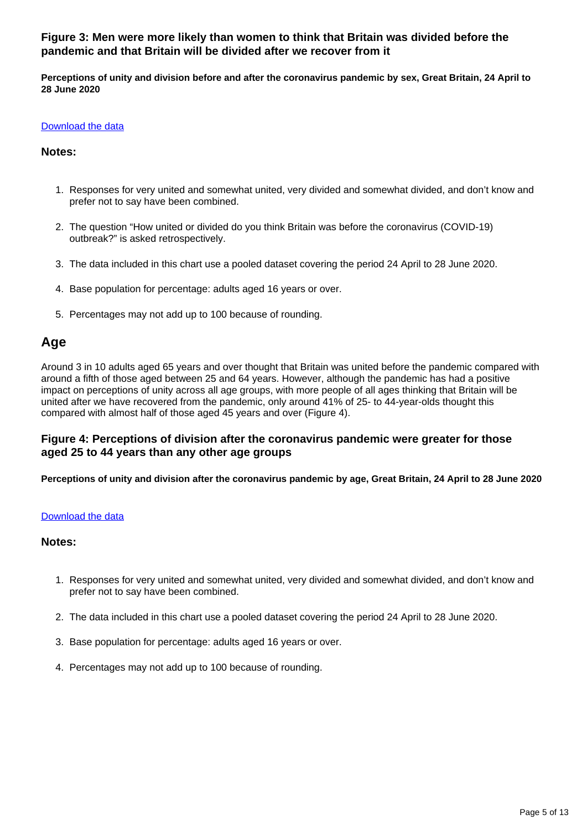### **Figure 3: Men were more likely than women to think that Britain was divided before the pandemic and that Britain will be divided after we recover from it**

**Perceptions of unity and division before and after the coronavirus pandemic by sex, Great Britain, 24 April to 28 June 2020**

#### [Download the data](https://www.ons.gov.uk/visualisations/dvc947/fig3/wrapper/datadownload.xlsx)

#### **Notes:**

- 1. Responses for very united and somewhat united, very divided and somewhat divided, and don't know and prefer not to say have been combined.
- 2. The question "How united or divided do you think Britain was before the coronavirus (COVID-19) outbreak?" is asked retrospectively.
- 3. The data included in this chart use a pooled dataset covering the period 24 April to 28 June 2020.
- 4. Base population for percentage: adults aged 16 years or over.
- 5. Percentages may not add up to 100 because of rounding.

### **Age**

Around 3 in 10 adults aged 65 years and over thought that Britain was united before the pandemic compared with around a fifth of those aged between 25 and 64 years. However, although the pandemic has had a positive impact on perceptions of unity across all age groups, with more people of all ages thinking that Britain will be united after we have recovered from the pandemic, only around 41% of 25- to 44-year-olds thought this compared with almost half of those aged 45 years and over (Figure 4).

### **Figure 4: Perceptions of division after the coronavirus pandemic were greater for those aged 25 to 44 years than any other age groups**

**Perceptions of unity and division after the coronavirus pandemic by age, Great Britain, 24 April to 28 June 2020**

#### [Download the data](https://www.ons.gov.uk/visualisations/dvc947/fig4/datadownload.xlsx)

#### **Notes:**

- 1. Responses for very united and somewhat united, very divided and somewhat divided, and don't know and prefer not to say have been combined.
- 2. The data included in this chart use a pooled dataset covering the period 24 April to 28 June 2020.
- 3. Base population for percentage: adults aged 16 years or over.
- 4. Percentages may not add up to 100 because of rounding.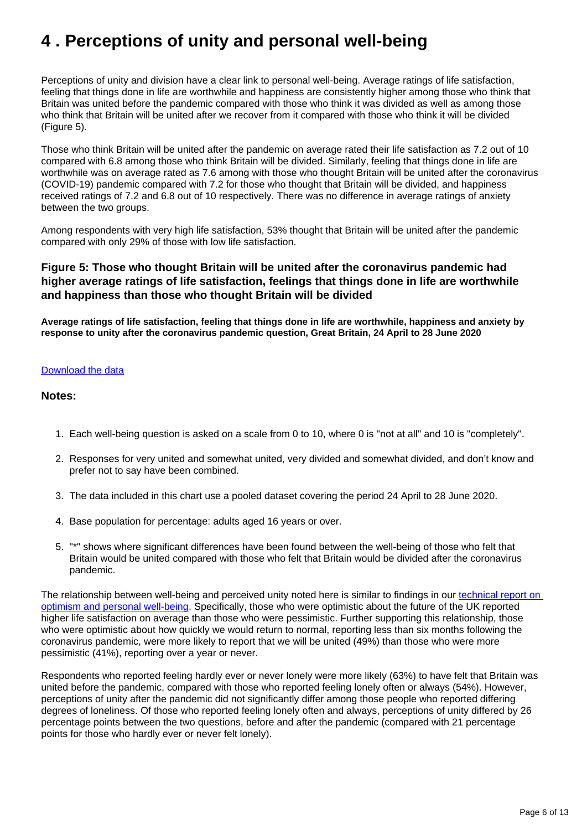## <span id="page-5-0"></span>**4 . Perceptions of unity and personal well-being**

Perceptions of unity and division have a clear link to personal well-being. Average ratings of life satisfaction, feeling that things done in life are worthwhile and happiness are consistently higher among those who think that Britain was united before the pandemic compared with those who think it was divided as well as among those who think that Britain will be united after we recover from it compared with those who think it will be divided (Figure 5).

Those who think Britain will be united after the pandemic on average rated their life satisfaction as 7.2 out of 10 compared with 6.8 among those who think Britain will be divided. Similarly, feeling that things done in life are worthwhile was on average rated as 7.6 among with those who thought Britain will be united after the coronavirus (COVID-19) pandemic compared with 7.2 for those who thought that Britain will be divided, and happiness received ratings of 7.2 and 6.8 out of 10 respectively. There was no difference in average ratings of anxiety between the two groups.

Among respondents with very high life satisfaction, 53% thought that Britain will be united after the pandemic compared with only 29% of those with low life satisfaction.

### **Figure 5: Those who thought Britain will be united after the coronavirus pandemic had higher average ratings of life satisfaction, feelings that things done in life are worthwhile and happiness than those who thought Britain will be divided**

**Average ratings of life satisfaction, feeling that things done in life are worthwhile, happiness and anxiety by response to unity after the coronavirus pandemic question, Great Britain, 24 April to 28 June 2020**

#### [Download the data](https://www.ons.gov.uk/visualisations/dvc947/fig5/datadownload.xlsx)

#### **Notes:**

- 1. Each well-being question is asked on a scale from 0 to 10, where 0 is "not at all" and 10 is "completely".
- 2. Responses for very united and somewhat united, very divided and somewhat divided, and don't know and prefer not to say have been combined.
- 3. The data included in this chart use a pooled dataset covering the period 24 April to 28 June 2020.
- 4. Base population for percentage: adults aged 16 years or over.
- 5. "\*" shows where significant differences have been found between the well-being of those who felt that Britain would be united compared with those who felt that Britain would be divided after the coronavirus pandemic.

The relationship between well-being and perceived unity noted here is similar to findings in our [technical report on](https://www.ons.gov.uk/peoplepopulationandcommunity/wellbeing/methodologies/optimismandpersonalwellbeingtechnicalreport)  [optimism and personal well-being.](https://www.ons.gov.uk/peoplepopulationandcommunity/wellbeing/methodologies/optimismandpersonalwellbeingtechnicalreport) Specifically, those who were optimistic about the future of the UK reported higher life satisfaction on average than those who were pessimistic. Further supporting this relationship, those who were optimistic about how quickly we would return to normal, reporting less than six months following the coronavirus pandemic, were more likely to report that we will be united (49%) than those who were more pessimistic (41%), reporting over a year or never.

Respondents who reported feeling hardly ever or never lonely were more likely (63%) to have felt that Britain was united before the pandemic, compared with those who reported feeling lonely often or always (54%). However, perceptions of unity after the pandemic did not significantly differ among those people who reported differing degrees of loneliness. Of those who reported feeling lonely often and always, perceptions of unity differed by 26 percentage points between the two questions, before and after the pandemic (compared with 21 percentage points for those who hardly ever or never felt lonely).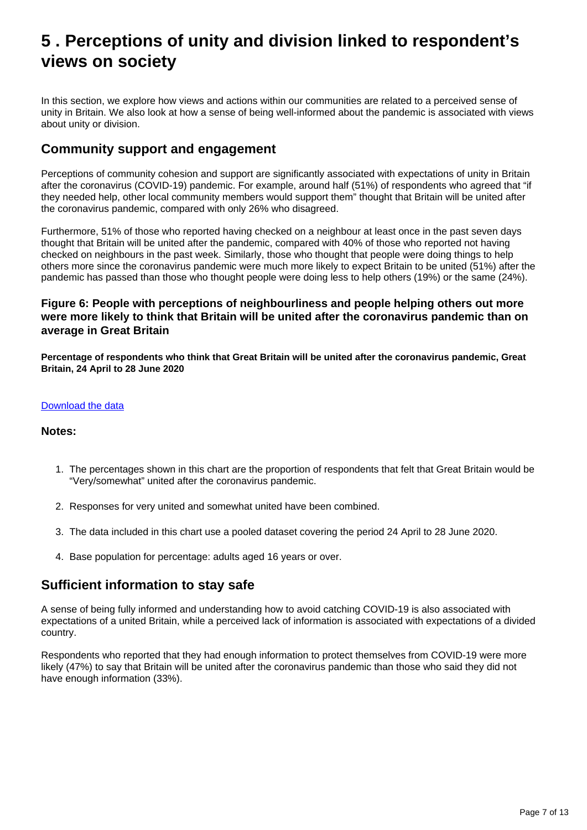## <span id="page-6-0"></span>**5 . Perceptions of unity and division linked to respondent's views on society**

In this section, we explore how views and actions within our communities are related to a perceived sense of unity in Britain. We also look at how a sense of being well-informed about the pandemic is associated with views about unity or division.

## **Community support and engagement**

Perceptions of community cohesion and support are significantly associated with expectations of unity in Britain after the coronavirus (COVID-19) pandemic. For example, around half (51%) of respondents who agreed that "if they needed help, other local community members would support them" thought that Britain will be united after the coronavirus pandemic, compared with only 26% who disagreed.

Furthermore, 51% of those who reported having checked on a neighbour at least once in the past seven days thought that Britain will be united after the pandemic, compared with 40% of those who reported not having checked on neighbours in the past week. Similarly, those who thought that people were doing things to help others more since the coronavirus pandemic were much more likely to expect Britain to be united (51%) after the pandemic has passed than those who thought people were doing less to help others (19%) or the same (24%).

### **Figure 6: People with perceptions of neighbourliness and people helping others out more were more likely to think that Britain will be united after the coronavirus pandemic than on average in Great Britain**

**Percentage of respondents who think that Great Britain will be united after the coronavirus pandemic, Great Britain, 24 April to 28 June 2020**

#### [Download the data](https://www.ons.gov.uk/visualisations/dvc947/fig6/datadownload.xlsx)

#### **Notes:**

- 1. The percentages shown in this chart are the proportion of respondents that felt that Great Britain would be "Very/somewhat" united after the coronavirus pandemic.
- 2. Responses for very united and somewhat united have been combined.
- 3. The data included in this chart use a pooled dataset covering the period 24 April to 28 June 2020.
- 4. Base population for percentage: adults aged 16 years or over.

## **Sufficient information to stay safe**

A sense of being fully informed and understanding how to avoid catching COVID-19 is also associated with expectations of a united Britain, while a perceived lack of information is associated with expectations of a divided country.

Respondents who reported that they had enough information to protect themselves from COVID-19 were more likely (47%) to say that Britain will be united after the coronavirus pandemic than those who said they did not have enough information (33%).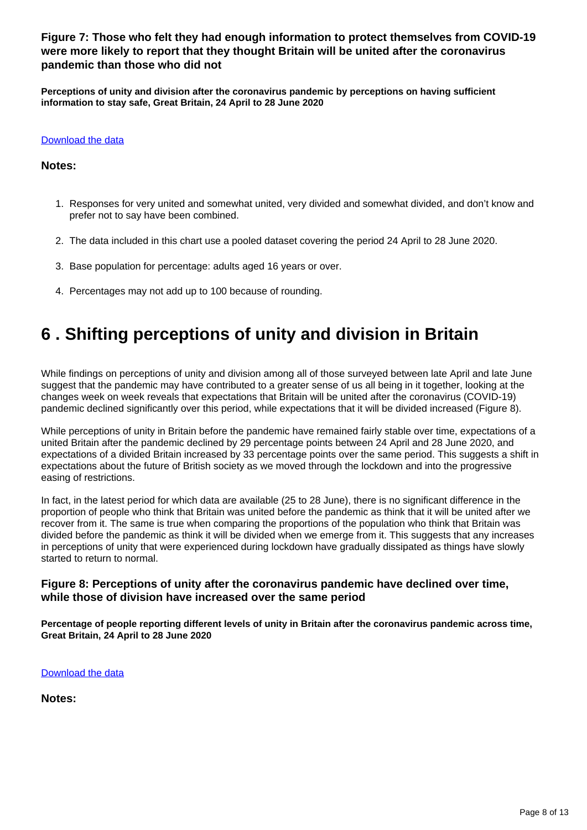### **Figure 7: Those who felt they had enough information to protect themselves from COVID-19 were more likely to report that they thought Britain will be united after the coronavirus pandemic than those who did not**

**Perceptions of unity and division after the coronavirus pandemic by perceptions on having sufficient information to stay safe, Great Britain, 24 April to 28 June 2020**

#### [Download the data](https://www.ons.gov.uk/visualisations/dvc947/fig7/datadownload.xlsx)

#### **Notes:**

- 1. Responses for very united and somewhat united, very divided and somewhat divided, and don't know and prefer not to say have been combined.
- 2. The data included in this chart use a pooled dataset covering the period 24 April to 28 June 2020.
- 3. Base population for percentage: adults aged 16 years or over.
- 4. Percentages may not add up to 100 because of rounding.

## <span id="page-7-0"></span>**6 . Shifting perceptions of unity and division in Britain**

While findings on perceptions of unity and division among all of those surveyed between late April and late June suggest that the pandemic may have contributed to a greater sense of us all being in it together, looking at the changes week on week reveals that expectations that Britain will be united after the coronavirus (COVID-19) pandemic declined significantly over this period, while expectations that it will be divided increased (Figure 8).

While perceptions of unity in Britain before the pandemic have remained fairly stable over time, expectations of a united Britain after the pandemic declined by 29 percentage points between 24 April and 28 June 2020, and expectations of a divided Britain increased by 33 percentage points over the same period. This suggests a shift in expectations about the future of British society as we moved through the lockdown and into the progressive easing of restrictions.

In fact, in the latest period for which data are available (25 to 28 June), there is no significant difference in the proportion of people who think that Britain was united before the pandemic as think that it will be united after we recover from it. The same is true when comparing the proportions of the population who think that Britain was divided before the pandemic as think it will be divided when we emerge from it. This suggests that any increases in perceptions of unity that were experienced during lockdown have gradually dissipated as things have slowly started to return to normal.

### **Figure 8: Perceptions of unity after the coronavirus pandemic have declined over time, while those of division have increased over the same period**

**Percentage of people reporting different levels of unity in Britain after the coronavirus pandemic across time, Great Britain, 24 April to 28 June 2020**

[Download the data](https://www.ons.gov.uk/visualisations/dvc947/fig8/datadownload.xlsx)

**Notes:**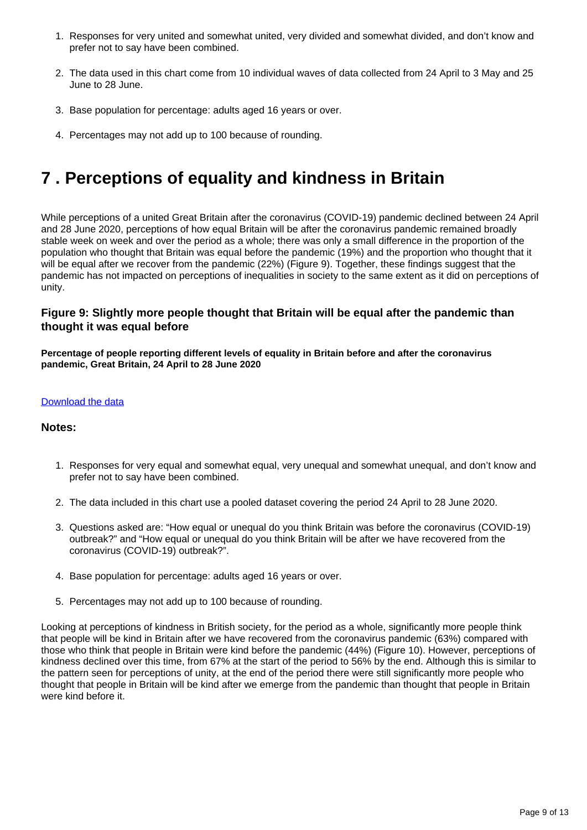- 1. Responses for very united and somewhat united, very divided and somewhat divided, and don't know and prefer not to say have been combined.
- 2. The data used in this chart come from 10 individual waves of data collected from 24 April to 3 May and 25 June to 28 June.
- 3. Base population for percentage: adults aged 16 years or over.
- 4. Percentages may not add up to 100 because of rounding.

## <span id="page-8-0"></span>**7 . Perceptions of equality and kindness in Britain**

While perceptions of a united Great Britain after the coronavirus (COVID-19) pandemic declined between 24 April and 28 June 2020, perceptions of how equal Britain will be after the coronavirus pandemic remained broadly stable week on week and over the period as a whole; there was only a small difference in the proportion of the population who thought that Britain was equal before the pandemic (19%) and the proportion who thought that it will be equal after we recover from the pandemic (22%) (Figure 9). Together, these findings suggest that the pandemic has not impacted on perceptions of inequalities in society to the same extent as it did on perceptions of unity.

### **Figure 9: Slightly more people thought that Britain will be equal after the pandemic than thought it was equal before**

**Percentage of people reporting different levels of equality in Britain before and after the coronavirus pandemic, Great Britain, 24 April to 28 June 2020**

#### [Download the data](https://www.ons.gov.uk/visualisations/dvc947/fig9/datadownload.xlsx)

#### **Notes:**

- 1. Responses for very equal and somewhat equal, very unequal and somewhat unequal, and don't know and prefer not to say have been combined.
- 2. The data included in this chart use a pooled dataset covering the period 24 April to 28 June 2020.
- 3. Questions asked are: "How equal or unequal do you think Britain was before the coronavirus (COVID-19) outbreak?" and "How equal or unequal do you think Britain will be after we have recovered from the coronavirus (COVID-19) outbreak?".
- 4. Base population for percentage: adults aged 16 years or over.
- 5. Percentages may not add up to 100 because of rounding.

Looking at perceptions of kindness in British society, for the period as a whole, significantly more people think that people will be kind in Britain after we have recovered from the coronavirus pandemic (63%) compared with those who think that people in Britain were kind before the pandemic (44%) (Figure 10). However, perceptions of kindness declined over this time, from 67% at the start of the period to 56% by the end. Although this is similar to the pattern seen for perceptions of unity, at the end of the period there were still significantly more people who thought that people in Britain will be kind after we emerge from the pandemic than thought that people in Britain were kind before it.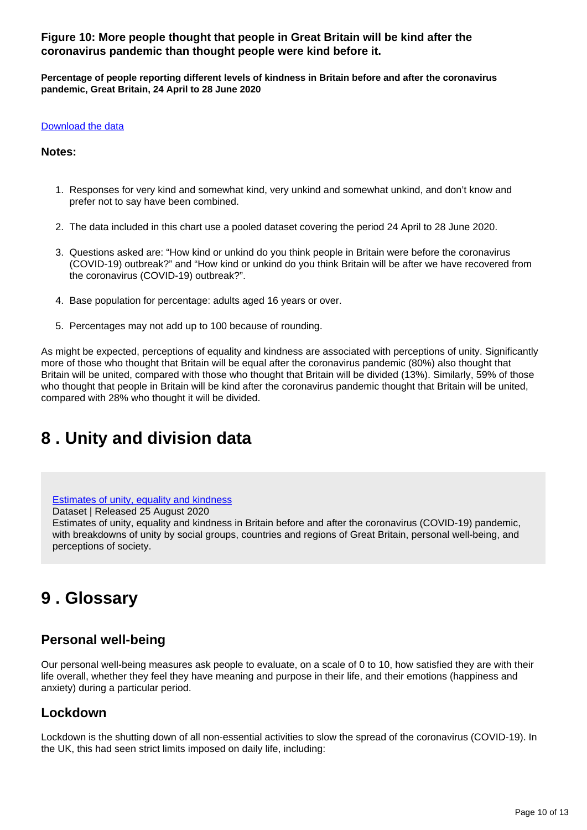**Figure 10: More people thought that people in Great Britain will be kind after the coronavirus pandemic than thought people were kind before it.**

**Percentage of people reporting different levels of kindness in Britain before and after the coronavirus pandemic, Great Britain, 24 April to 28 June 2020**

#### [Download the data](https://www.ons.gov.uk/visualisations/dvc947/fig10/datadownload.xlsx)

#### **Notes:**

- 1. Responses for very kind and somewhat kind, very unkind and somewhat unkind, and don't know and prefer not to say have been combined.
- 2. The data included in this chart use a pooled dataset covering the period 24 April to 28 June 2020.
- 3. Questions asked are: "How kind or unkind do you think people in Britain were before the coronavirus (COVID-19) outbreak?" and "How kind or unkind do you think Britain will be after we have recovered from the coronavirus (COVID-19) outbreak?".
- 4. Base population for percentage: adults aged 16 years or over.
- 5. Percentages may not add up to 100 because of rounding.

As might be expected, perceptions of equality and kindness are associated with perceptions of unity. Significantly more of those who thought that Britain will be equal after the coronavirus pandemic (80%) also thought that Britain will be united, compared with those who thought that Britain will be divided (13%). Similarly, 59% of those who thought that people in Britain will be kind after the coronavirus pandemic thought that Britain will be united, compared with 28% who thought it will be divided.

## <span id="page-9-0"></span>**8 . Unity and division data**

[Estimates of unity, equality and kindness](https://www.ons.gov.uk/peoplepopulationandcommunity/wellbeing/datasets/estimatesofunityequalityandkindness)

Dataset | Released 25 August 2020

Estimates of unity, equality and kindness in Britain before and after the coronavirus (COVID-19) pandemic, with breakdowns of unity by social groups, countries and regions of Great Britain, personal well-being, and perceptions of society.

## <span id="page-9-1"></span>**9 . Glossary**

## **Personal well-being**

Our personal well-being measures ask people to evaluate, on a scale of 0 to 10, how satisfied they are with their life overall, whether they feel they have meaning and purpose in their life, and their emotions (happiness and anxiety) during a particular period.

## **Lockdown**

Lockdown is the shutting down of all non-essential activities to slow the spread of the coronavirus (COVID-19). In the UK, this had seen strict limits imposed on daily life, including: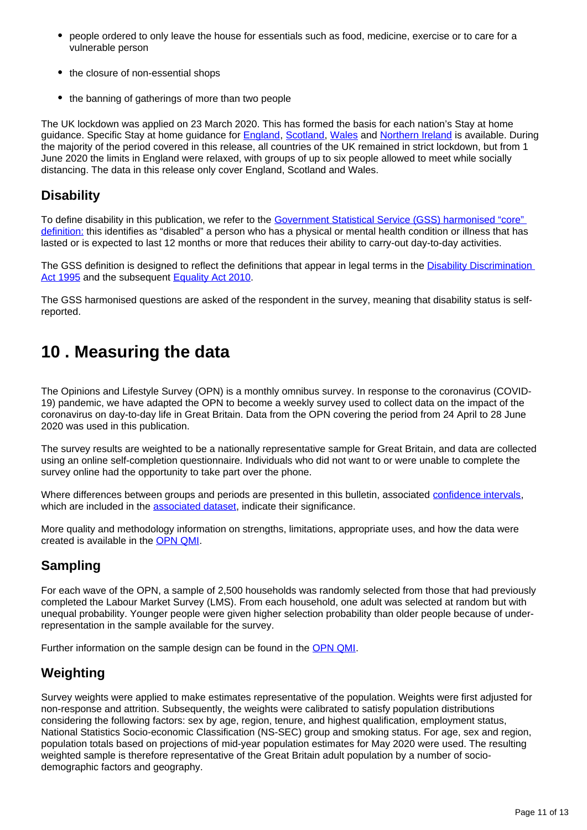- people ordered to only leave the house for essentials such as food, medicine, exercise or to care for a vulnerable person
- the closure of non-essential shops
- the banning of gatherings of more than two people

The UK lockdown was applied on 23 March 2020. This has formed the basis for each nation's Stay at home guidance. Specific Stay at home guidance for [England](https://www.gov.uk/government/publications/covid-19-stay-at-home-guidance/stay-at-home-guidance-for-households-with-possible-coronavirus-covid-19-infection), [Scotland](https://www.gov.scot/publications/coronavirus-covid-19-staying-at-home-and-away-from-others-social-distancing/pages/staying-at-home/), [Wales](https://gov.wales/staying-home-and-away-others-guidance) and [Northern Ireland](https://www.nidirect.gov.uk/articles/coronavirus-covid-19-staying-home-and-self-isolation) is available. During the majority of the period covered in this release, all countries of the UK remained in strict lockdown, but from 1 June 2020 the limits in England were relaxed, with groups of up to six people allowed to meet while socially distancing. The data in this release only cover England, Scotland and Wales.

## **Disability**

To define disability in this publication, we refer to the Government Statistical Service (GSS) harmonised "core" [definition:](https://gss.civilservice.gov.uk/policy-store/measuring-disability-for-the-equality-act-2010/) this identifies as "disabled" a person who has a physical or mental health condition or illness that has lasted or is expected to last 12 months or more that reduces their ability to carry-out day-to-day activities.

The GSS definition is designed to reflect the definitions that appear in legal terms in the [Disability Discrimination](http://www.legislation.gov.uk/ukpga/1995/50/contents)  [Act 1995](http://www.legislation.gov.uk/ukpga/1995/50/contents) and the subsequent [Equality Act 2010](http://www.legislation.gov.uk/ukpga/2010/15/section/6).

The GSS harmonised questions are asked of the respondent in the survey, meaning that disability status is selfreported.

## <span id="page-10-0"></span>**10 . Measuring the data**

The Opinions and Lifestyle Survey (OPN) is a monthly omnibus survey. In response to the coronavirus (COVID-19) pandemic, we have adapted the OPN to become a weekly survey used to collect data on the impact of the coronavirus on day-to-day life in Great Britain. Data from the OPN covering the period from 24 April to 28 June 2020 was used in this publication.

The survey results are weighted to be a nationally representative sample for Great Britain, and data are collected using an online self-completion questionnaire. Individuals who did not want to or were unable to complete the survey online had the opportunity to take part over the phone.

Where differences between groups and periods are presented in this bulletin, associated [confidence intervals](https://www.ons.gov.uk/methodology/methodologytopicsandstatisticalconcepts/uncertaintyandhowwemeasureit#confidence-interval), which are included in the [associated dataset,](http://dataset) indicate their significance.

More quality and methodology information on strengths, limitations, appropriate uses, and how the data were created is available in the [OPN QMI](https://www.ons.gov.uk/peoplepopulationandcommunity/healthandsocialcare/healthandlifeexpectancies/methodologies/opinionsandlifestylesurveyqmi).

## **Sampling**

For each wave of the OPN, a sample of 2,500 households was randomly selected from those that had previously completed the Labour Market Survey (LMS). From each household, one adult was selected at random but with unequal probability. Younger people were given higher selection probability than older people because of underrepresentation in the sample available for the survey.

Further information on the sample design can be found in the [OPN QMI.](https://www.ons.gov.uk/peoplepopulationandcommunity/healthandsocialcare/healthandlifeexpectancies/methodologies/opinionsandlifestylesurveyqmi)

## **Weighting**

Survey weights were applied to make estimates representative of the population. Weights were first adjusted for non-response and attrition. Subsequently, the weights were calibrated to satisfy population distributions considering the following factors: sex by age, region, tenure, and highest qualification, employment status, National Statistics Socio-economic Classification (NS-SEC) group and smoking status. For age, sex and region, population totals based on projections of mid-year population estimates for May 2020 were used. The resulting weighted sample is therefore representative of the Great Britain adult population by a number of sociodemographic factors and geography.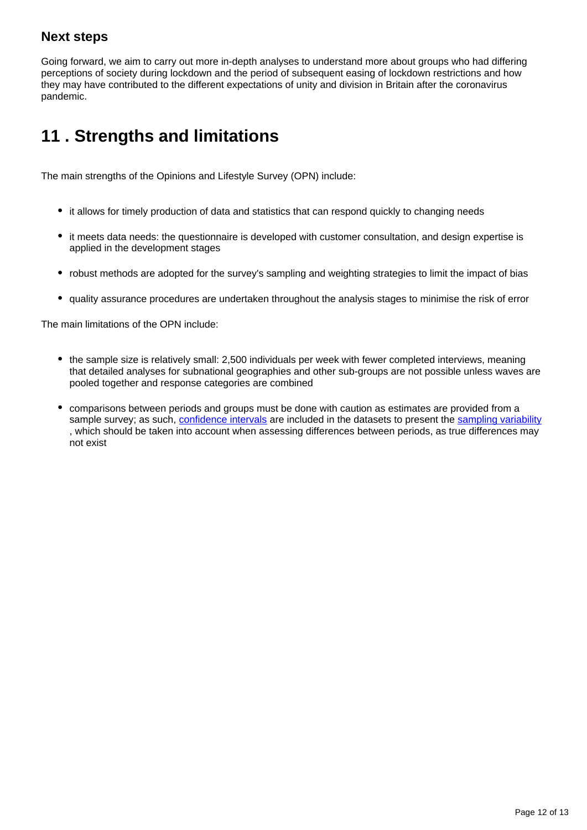## **Next steps**

Going forward, we aim to carry out more in-depth analyses to understand more about groups who had differing perceptions of society during lockdown and the period of subsequent easing of lockdown restrictions and how they may have contributed to the different expectations of unity and division in Britain after the coronavirus pandemic.

## <span id="page-11-0"></span>**11 . Strengths and limitations**

The main strengths of the Opinions and Lifestyle Survey (OPN) include:

- it allows for timely production of data and statistics that can respond quickly to changing needs
- it meets data needs: the questionnaire is developed with customer consultation, and design expertise is applied in the development stages
- robust methods are adopted for the survey's sampling and weighting strategies to limit the impact of bias
- quality assurance procedures are undertaken throughout the analysis stages to minimise the risk of error

The main limitations of the OPN include:

- the sample size is relatively small: 2,500 individuals per week with fewer completed interviews, meaning that detailed analyses for subnational geographies and other sub-groups are not possible unless waves are pooled together and response categories are combined
- comparisons between periods and groups must be done with caution as estimates are provided from a sample survey; as such, [confidence intervals](https://www.ons.gov.uk/methodology/methodologytopicsandstatisticalconcepts/uncertaintyandhowwemeasureit#confidence-interval) are included in the datasets to present the [sampling variability](https://www.ons.gov.uk/methodology/methodologytopicsandstatisticalconcepts/uncertaintyandhowwemeasureit#sampling-the-population) , which should be taken into account when assessing differences between periods, as true differences may not exist